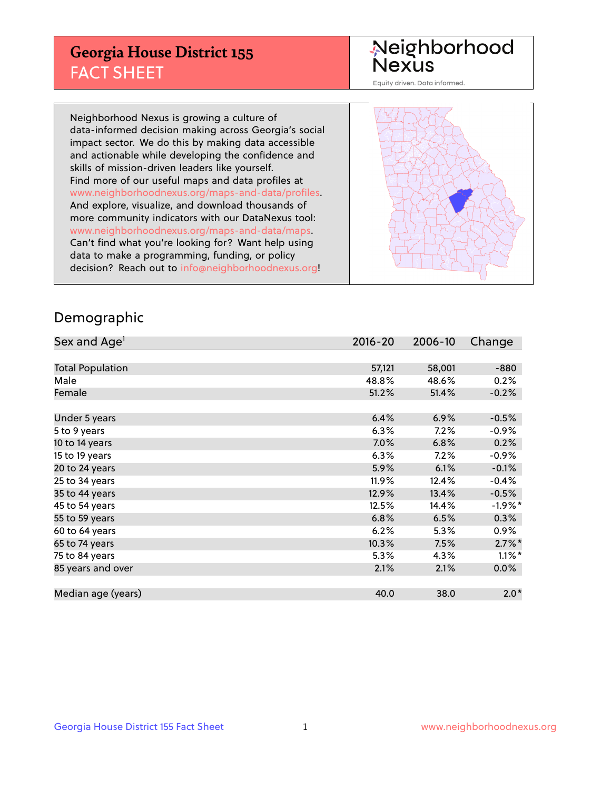## **Georgia House District 155** FACT SHEET

# Neighborhood<br>Nexus

Equity driven. Data informed.

Neighborhood Nexus is growing a culture of data-informed decision making across Georgia's social impact sector. We do this by making data accessible and actionable while developing the confidence and skills of mission-driven leaders like yourself. Find more of our useful maps and data profiles at www.neighborhoodnexus.org/maps-and-data/profiles. And explore, visualize, and download thousands of more community indicators with our DataNexus tool: www.neighborhoodnexus.org/maps-and-data/maps. Can't find what you're looking for? Want help using data to make a programming, funding, or policy decision? Reach out to [info@neighborhoodnexus.org!](mailto:info@neighborhoodnexus.org)



### Demographic

| Sex and Age <sup>1</sup> | $2016 - 20$ | 2006-10 | Change    |
|--------------------------|-------------|---------|-----------|
|                          |             |         |           |
| <b>Total Population</b>  | 57,121      | 58,001  | $-880$    |
| Male                     | 48.8%       | 48.6%   | 0.2%      |
| Female                   | 51.2%       | 51.4%   | $-0.2%$   |
|                          |             |         |           |
| Under 5 years            | 6.4%        | 6.9%    | $-0.5%$   |
| 5 to 9 years             | 6.3%        | 7.2%    | -0.9%     |
| 10 to 14 years           | 7.0%        | 6.8%    | 0.2%      |
| 15 to 19 years           | 6.3%        | 7.2%    | $-0.9%$   |
| 20 to 24 years           | 5.9%        | 6.1%    | $-0.1%$   |
| 25 to 34 years           | $11.9\%$    | 12.4%   | $-0.4%$   |
| 35 to 44 years           | 12.9%       | 13.4%   | $-0.5%$   |
| 45 to 54 years           | 12.5%       | 14.4%   | $-1.9%$ * |
| 55 to 59 years           | 6.8%        | 6.5%    | 0.3%      |
| 60 to 64 years           | 6.2%        | 5.3%    | $0.9\%$   |
| 65 to 74 years           | 10.3%       | 7.5%    | $2.7\%$ * |
| 75 to 84 years           | 5.3%        | 4.3%    | $1.1\%$ * |
| 85 years and over        | 2.1%        | 2.1%    | 0.0%      |
|                          |             |         |           |
| Median age (years)       | 40.0        | 38.0    | $2.0*$    |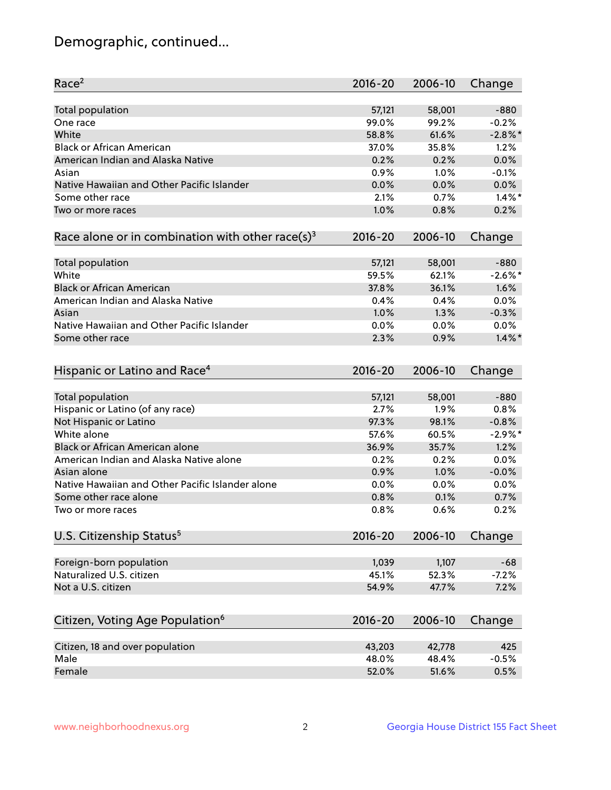## Demographic, continued...

| Race <sup>2</sup>                                            | $2016 - 20$ | 2006-10 | Change     |
|--------------------------------------------------------------|-------------|---------|------------|
| <b>Total population</b>                                      | 57,121      | 58,001  | $-880$     |
| One race                                                     | 99.0%       | 99.2%   | $-0.2%$    |
| White                                                        | 58.8%       | 61.6%   | $-2.8\%$ * |
| <b>Black or African American</b>                             | 37.0%       | 35.8%   | 1.2%       |
| American Indian and Alaska Native                            | 0.2%        | 0.2%    | 0.0%       |
| Asian                                                        | 0.9%        | 1.0%    | $-0.1%$    |
| Native Hawaiian and Other Pacific Islander                   | 0.0%        | 0.0%    | 0.0%       |
| Some other race                                              | 2.1%        | 0.7%    | $1.4\%$ *  |
| Two or more races                                            | 1.0%        | 0.8%    | 0.2%       |
| Race alone or in combination with other race(s) <sup>3</sup> | $2016 - 20$ | 2006-10 | Change     |
|                                                              |             |         |            |
| <b>Total population</b>                                      | 57,121      | 58,001  | $-880$     |
| White                                                        | 59.5%       | 62.1%   | $-2.6\%$ * |
| <b>Black or African American</b>                             | 37.8%       | 36.1%   | 1.6%       |
| American Indian and Alaska Native                            | 0.4%        | 0.4%    | 0.0%       |
| Asian                                                        | 1.0%        | 1.3%    | $-0.3%$    |
| Native Hawaiian and Other Pacific Islander                   | 0.0%        | 0.0%    | $0.0\%$    |
| Some other race                                              | 2.3%        | 0.9%    | $1.4\%$ *  |
|                                                              |             |         |            |
| Hispanic or Latino and Race <sup>4</sup>                     | 2016-20     | 2006-10 | Change     |
| <b>Total population</b>                                      | 57,121      | 58,001  | $-880$     |
| Hispanic or Latino (of any race)                             | 2.7%        | 1.9%    | 0.8%       |
| Not Hispanic or Latino                                       | 97.3%       | 98.1%   | $-0.8%$    |
| White alone                                                  |             |         | $-2.9%$ *  |
|                                                              | 57.6%       | 60.5%   |            |
| <b>Black or African American alone</b>                       | 36.9%       | 35.7%   | 1.2%       |
| American Indian and Alaska Native alone                      | 0.2%        | 0.2%    | 0.0%       |
| Asian alone                                                  | 0.9%        | 1.0%    | $-0.0%$    |
| Native Hawaiian and Other Pacific Islander alone             | 0.0%        | 0.0%    | 0.0%       |
| Some other race alone                                        | 0.8%        | 0.1%    | 0.7%       |
| Two or more races                                            | 0.8%        | 0.6%    | 0.2%       |
| U.S. Citizenship Status <sup>5</sup>                         | $2016 - 20$ | 2006-10 | Change     |
|                                                              |             |         |            |
| Foreign-born population                                      | 1,039       | 1,107   | $-68$      |
| Naturalized U.S. citizen                                     | 45.1%       | 52.3%   | $-7.2%$    |
| Not a U.S. citizen                                           | 54.9%       | 47.7%   | 7.2%       |
|                                                              |             |         |            |
| Citizen, Voting Age Population <sup>6</sup>                  | $2016 - 20$ | 2006-10 | Change     |
| Citizen, 18 and over population                              | 43,203      | 42,778  | 425        |
| Male                                                         | 48.0%       | 48.4%   | $-0.5%$    |
| Female                                                       | 52.0%       | 51.6%   | 0.5%       |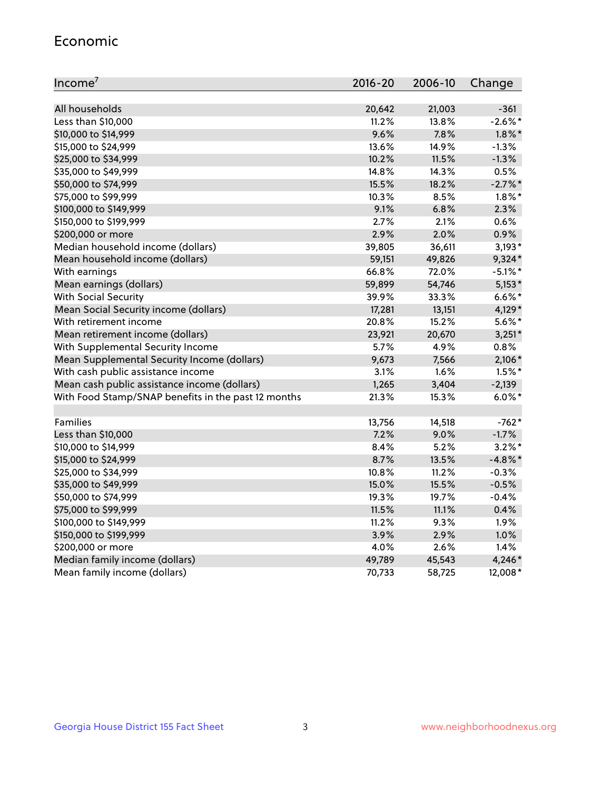#### Economic

| Income <sup>7</sup>                                 | 2016-20 | 2006-10 | Change     |
|-----------------------------------------------------|---------|---------|------------|
|                                                     |         |         |            |
| All households                                      | 20,642  | 21,003  | $-361$     |
| Less than \$10,000                                  | 11.2%   | 13.8%   | $-2.6\%$ * |
| \$10,000 to \$14,999                                | 9.6%    | 7.8%    | $1.8\%$ *  |
| \$15,000 to \$24,999                                | 13.6%   | 14.9%   | $-1.3%$    |
| \$25,000 to \$34,999                                | 10.2%   | 11.5%   | $-1.3%$    |
| \$35,000 to \$49,999                                | 14.8%   | 14.3%   | 0.5%       |
| \$50,000 to \$74,999                                | 15.5%   | 18.2%   | $-2.7%$ *  |
| \$75,000 to \$99,999                                | 10.3%   | 8.5%    | $1.8\%$ *  |
| \$100,000 to \$149,999                              | 9.1%    | 6.8%    | 2.3%       |
| \$150,000 to \$199,999                              | 2.7%    | 2.1%    | 0.6%       |
| \$200,000 or more                                   | 2.9%    | 2.0%    | 0.9%       |
| Median household income (dollars)                   | 39,805  | 36,611  | $3,193*$   |
| Mean household income (dollars)                     | 59,151  | 49,826  | $9,324*$   |
| With earnings                                       | 66.8%   | 72.0%   | $-5.1\%$ * |
| Mean earnings (dollars)                             | 59,899  | 54,746  | $5,153*$   |
| <b>With Social Security</b>                         | 39.9%   | 33.3%   | $6.6\%$ *  |
| Mean Social Security income (dollars)               | 17,281  | 13,151  | 4,129*     |
| With retirement income                              | 20.8%   | 15.2%   | $5.6\%$ *  |
| Mean retirement income (dollars)                    | 23,921  | 20,670  | $3,251*$   |
| With Supplemental Security Income                   | 5.7%    | 4.9%    | 0.8%       |
| Mean Supplemental Security Income (dollars)         | 9,673   | 7,566   | 2,106*     |
| With cash public assistance income                  | 3.1%    | 1.6%    | $1.5%$ *   |
| Mean cash public assistance income (dollars)        | 1,265   | 3,404   | $-2,139$   |
| With Food Stamp/SNAP benefits in the past 12 months | 21.3%   | 15.3%   | $6.0\%$ *  |
|                                                     |         |         |            |
| Families                                            | 13,756  | 14,518  | $-762*$    |
| Less than \$10,000                                  | 7.2%    | 9.0%    | $-1.7%$    |
| \$10,000 to \$14,999                                | 8.4%    | 5.2%    | $3.2\%$ *  |
| \$15,000 to \$24,999                                | 8.7%    | 13.5%   | $-4.8\%$ * |
| \$25,000 to \$34,999                                | 10.8%   | 11.2%   | $-0.3%$    |
| \$35,000 to \$49,999                                | 15.0%   | 15.5%   | $-0.5%$    |
| \$50,000 to \$74,999                                | 19.3%   | 19.7%   | $-0.4%$    |
| \$75,000 to \$99,999                                | 11.5%   | 11.1%   | 0.4%       |
| \$100,000 to \$149,999                              | 11.2%   | 9.3%    | 1.9%       |
| \$150,000 to \$199,999                              | 3.9%    | 2.9%    | 1.0%       |
| \$200,000 or more                                   | 4.0%    | 2.6%    | 1.4%       |
| Median family income (dollars)                      | 49,789  | 45,543  | 4,246*     |
| Mean family income (dollars)                        | 70,733  | 58,725  | 12,008*    |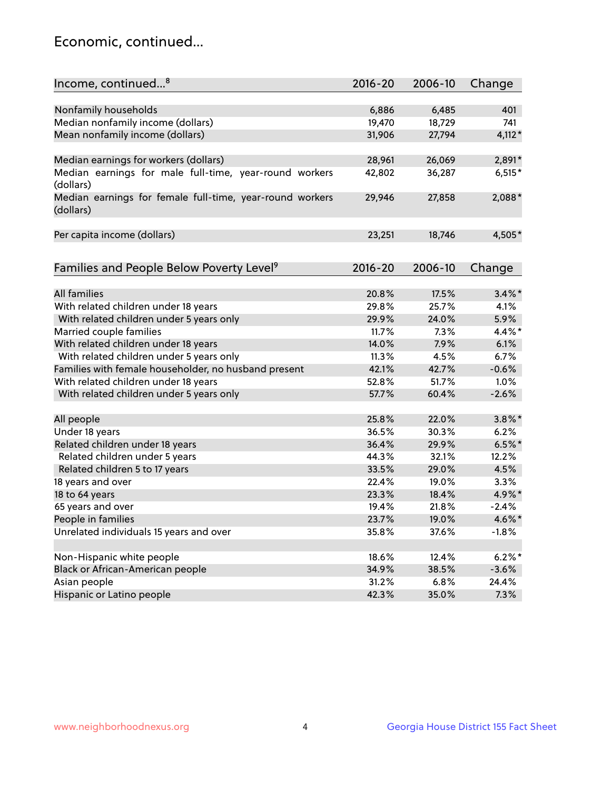## Economic, continued...

| Income, continued <sup>8</sup>                           | $2016 - 20$ | 2006-10        | Change       |
|----------------------------------------------------------|-------------|----------------|--------------|
|                                                          |             |                |              |
| Nonfamily households                                     | 6,886       | 6,485          | 401          |
| Median nonfamily income (dollars)                        | 19,470      | 18,729         | 741          |
| Mean nonfamily income (dollars)                          | 31,906      | 27,794         | $4,112*$     |
|                                                          |             |                |              |
| Median earnings for workers (dollars)                    | 28,961      | 26,069         | 2,891*       |
| Median earnings for male full-time, year-round workers   | 42,802      | 36,287         | $6,515*$     |
| (dollars)                                                |             |                |              |
| Median earnings for female full-time, year-round workers | 29,946      | 27,858         | 2,088*       |
| (dollars)                                                |             |                |              |
|                                                          |             |                |              |
| Per capita income (dollars)                              | 23,251      | 18,746         | 4,505*       |
|                                                          |             |                |              |
|                                                          | $2016 - 20$ |                |              |
| Families and People Below Poverty Level <sup>9</sup>     |             | 2006-10        | Change       |
| <b>All families</b>                                      | 20.8%       | 17.5%          | $3.4\%$ *    |
|                                                          |             |                |              |
| With related children under 18 years                     | 29.8%       | 25.7%<br>24.0% | 4.1%<br>5.9% |
| With related children under 5 years only                 | 29.9%       |                |              |
| Married couple families                                  | 11.7%       | 7.3%           | 4.4%*        |
| With related children under 18 years                     | 14.0%       | 7.9%           | 6.1%         |
| With related children under 5 years only                 | 11.3%       | 4.5%           | 6.7%         |
| Families with female householder, no husband present     | 42.1%       | 42.7%          | $-0.6%$      |
| With related children under 18 years                     | 52.8%       | 51.7%          | 1.0%         |
| With related children under 5 years only                 | 57.7%       | 60.4%          | $-2.6%$      |
| All people                                               | 25.8%       | 22.0%          | $3.8\%$ *    |
| Under 18 years                                           | 36.5%       | 30.3%          | 6.2%         |
| Related children under 18 years                          | 36.4%       | 29.9%          | $6.5%$ *     |
| Related children under 5 years                           | 44.3%       | 32.1%          | 12.2%        |
| Related children 5 to 17 years                           | 33.5%       | 29.0%          | 4.5%         |
| 18 years and over                                        | 22.4%       | 19.0%          | 3.3%         |
| 18 to 64 years                                           | 23.3%       | 18.4%          | 4.9%*        |
| 65 years and over                                        | 19.4%       | 21.8%          | $-2.4%$      |
| People in families                                       | 23.7%       | 19.0%          | 4.6%*        |
| Unrelated individuals 15 years and over                  | 35.8%       | 37.6%          | $-1.8%$      |
|                                                          |             |                |              |
| Non-Hispanic white people                                | 18.6%       | 12.4%          | $6.2\%$ *    |
| Black or African-American people                         | 34.9%       | 38.5%          | $-3.6%$      |
| Asian people                                             | 31.2%       | 6.8%           | 24.4%        |
| Hispanic or Latino people                                | 42.3%       | 35.0%          | 7.3%         |
|                                                          |             |                |              |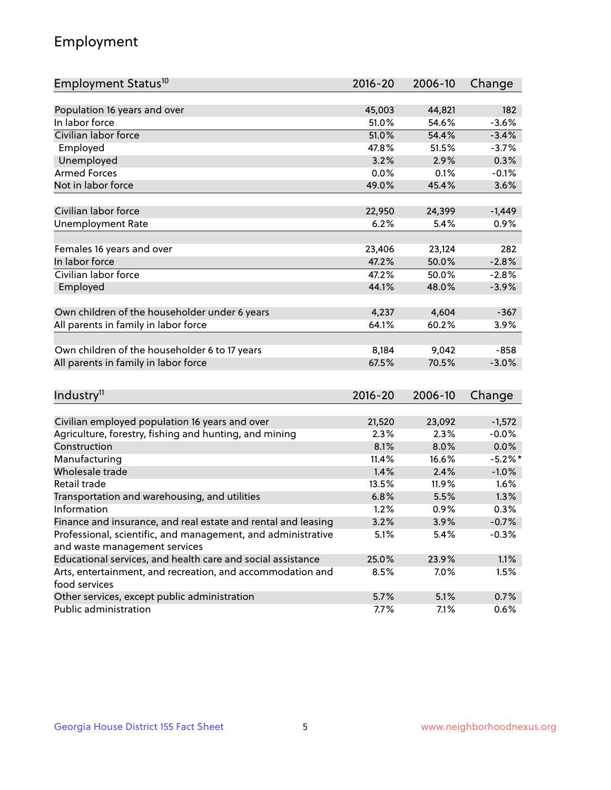## Employment

| Employment Status <sup>10</sup>                                             | $2016 - 20$ | 2006-10 | Change     |
|-----------------------------------------------------------------------------|-------------|---------|------------|
|                                                                             |             |         |            |
| Population 16 years and over                                                | 45,003      | 44,821  | 182        |
| In labor force                                                              | 51.0%       | 54.6%   | $-3.6%$    |
| Civilian labor force                                                        | 51.0%       | 54.4%   | $-3.4%$    |
| Employed                                                                    | 47.8%       | 51.5%   | $-3.7%$    |
| Unemployed                                                                  | 3.2%        | 2.9%    | 0.3%       |
| <b>Armed Forces</b>                                                         | 0.0%        | 0.1%    | $-0.1%$    |
| Not in labor force                                                          | 49.0%       | 45.4%   | 3.6%       |
|                                                                             |             |         |            |
| Civilian labor force                                                        | 22,950      | 24,399  | $-1,449$   |
| <b>Unemployment Rate</b>                                                    | 6.2%        | 5.4%    | 0.9%       |
|                                                                             |             |         |            |
| Females 16 years and over                                                   | 23,406      | 23,124  | 282        |
| In labor force                                                              | 47.2%       | 50.0%   | $-2.8%$    |
| Civilian labor force                                                        | 47.2%       | 50.0%   | $-2.8%$    |
| Employed                                                                    | 44.1%       | 48.0%   | $-3.9%$    |
|                                                                             |             |         |            |
| Own children of the householder under 6 years                               | 4,237       | 4,604   | $-367$     |
| All parents in family in labor force                                        | 64.1%       | 60.2%   | 3.9%       |
| Own children of the householder 6 to 17 years                               | 8,184       | 9,042   | $-858$     |
| All parents in family in labor force                                        | 67.5%       | 70.5%   | $-3.0%$    |
|                                                                             |             |         |            |
|                                                                             |             |         |            |
| Industry <sup>11</sup>                                                      | $2016 - 20$ | 2006-10 | Change     |
|                                                                             |             |         |            |
| Civilian employed population 16 years and over                              | 21,520      | 23,092  | $-1,572$   |
| Agriculture, forestry, fishing and hunting, and mining                      | 2.3%        | 2.3%    | $-0.0%$    |
| Construction                                                                | 8.1%        | 8.0%    | 0.0%       |
| Manufacturing                                                               | 11.4%       | 16.6%   | $-5.2\%$ * |
| Wholesale trade                                                             | 1.4%        | 2.4%    | $-1.0%$    |
| Retail trade                                                                | 13.5%       | 11.9%   | 1.6%       |
| Transportation and warehousing, and utilities                               | 6.8%        | 5.5%    | 1.3%       |
| Information                                                                 | 1.2%        | 0.9%    | 0.3%       |
| Finance and insurance, and real estate and rental and leasing               | 3.2%        | 3.9%    | $-0.7%$    |
| Professional, scientific, and management, and administrative                | 5.1%        | 5.4%    | $-0.3%$    |
| and waste management services                                               |             |         |            |
| Educational services, and health care and social assistance                 | 25.0%       | 23.9%   | 1.1%       |
| Arts, entertainment, and recreation, and accommodation and<br>food services | 8.5%        | 7.0%    | 1.5%       |
| Other services, except public administration                                | 5.7%        | 5.1%    | 0.7%       |
| Public administration                                                       | 7.7%        | 7.1%    | 0.6%       |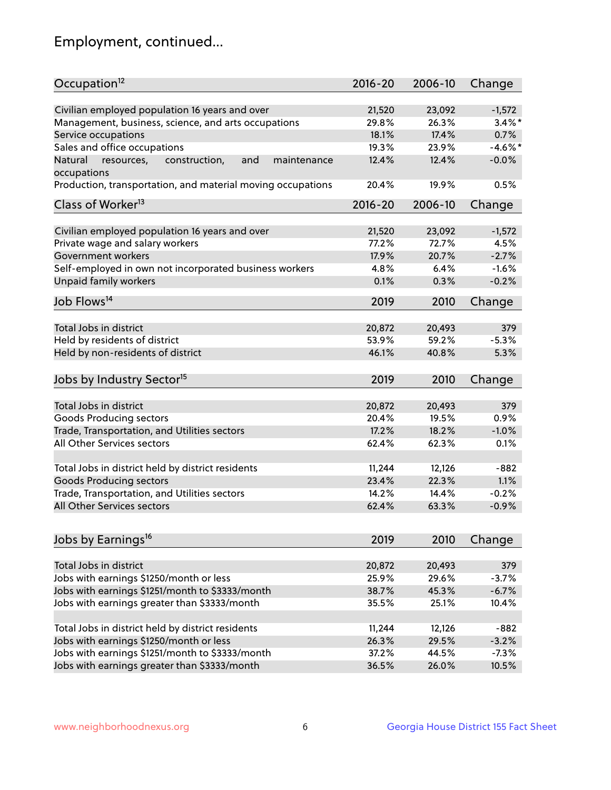## Employment, continued...

| Occupation <sup>12</sup>                                                    | $2016 - 20$ | 2006-10        | Change     |
|-----------------------------------------------------------------------------|-------------|----------------|------------|
| Civilian employed population 16 years and over                              | 21,520      | 23,092         | $-1,572$   |
|                                                                             |             |                |            |
| Management, business, science, and arts occupations                         | 29.8%       | 26.3%<br>17.4% | $3.4\%$ *  |
| Service occupations                                                         | 18.1%       |                | 0.7%       |
| Sales and office occupations                                                | 19.3%       | 23.9%          | $-4.6\%$ * |
| Natural<br>and<br>maintenance<br>resources,<br>construction,<br>occupations | 12.4%       | 12.4%          | $-0.0%$    |
| Production, transportation, and material moving occupations                 | 20.4%       | 19.9%          | 0.5%       |
| Class of Worker <sup>13</sup>                                               | $2016 - 20$ | 2006-10        | Change     |
|                                                                             |             |                |            |
| Civilian employed population 16 years and over                              | 21,520      | 23,092         | $-1,572$   |
| Private wage and salary workers                                             | 77.2%       | 72.7%          | 4.5%       |
| Government workers                                                          | 17.9%       | 20.7%          | $-2.7%$    |
| Self-employed in own not incorporated business workers                      | 4.8%        | $6.4\%$        | $-1.6%$    |
| <b>Unpaid family workers</b>                                                | 0.1%        | 0.3%           | $-0.2%$    |
| Job Flows <sup>14</sup>                                                     | 2019        | 2010           | Change     |
|                                                                             |             |                |            |
| Total Jobs in district                                                      | 20,872      | 20,493         | 379        |
| Held by residents of district                                               | 53.9%       | 59.2%          | $-5.3%$    |
| Held by non-residents of district                                           | 46.1%       | 40.8%          | 5.3%       |
| Jobs by Industry Sector <sup>15</sup>                                       | 2019        | 2010           | Change     |
|                                                                             |             |                |            |
| Total Jobs in district                                                      | 20,872      | 20,493         | 379        |
| Goods Producing sectors                                                     | 20.4%       | 19.5%          | 0.9%       |
| Trade, Transportation, and Utilities sectors                                | 17.2%       | 18.2%          | $-1.0%$    |
| All Other Services sectors                                                  | 62.4%       | 62.3%          | 0.1%       |
|                                                                             |             |                |            |
| Total Jobs in district held by district residents                           | 11,244      | 12,126         | $-882$     |
| <b>Goods Producing sectors</b>                                              | 23.4%       | 22.3%          | 1.1%       |
| Trade, Transportation, and Utilities sectors                                | 14.2%       | 14.4%          | $-0.2%$    |
| All Other Services sectors                                                  | 62.4%       | 63.3%          | $-0.9%$    |
|                                                                             |             |                |            |
| Jobs by Earnings <sup>16</sup>                                              | 2019        | 2010           | Change     |
|                                                                             |             |                |            |
| Total Jobs in district                                                      | 20,872      | 20,493         | 379        |
| Jobs with earnings \$1250/month or less                                     | 25.9%       | 29.6%          | $-3.7%$    |
| Jobs with earnings \$1251/month to \$3333/month                             | 38.7%       | 45.3%          | $-6.7%$    |
| Jobs with earnings greater than \$3333/month                                | 35.5%       | 25.1%          | 10.4%      |
| Total Jobs in district held by district residents                           | 11,244      | 12,126         | $-882$     |
| Jobs with earnings \$1250/month or less                                     | 26.3%       | 29.5%          | $-3.2%$    |
| Jobs with earnings \$1251/month to \$3333/month                             | 37.2%       | 44.5%          | $-7.3%$    |
|                                                                             | 36.5%       |                | 10.5%      |
| Jobs with earnings greater than \$3333/month                                |             | 26.0%          |            |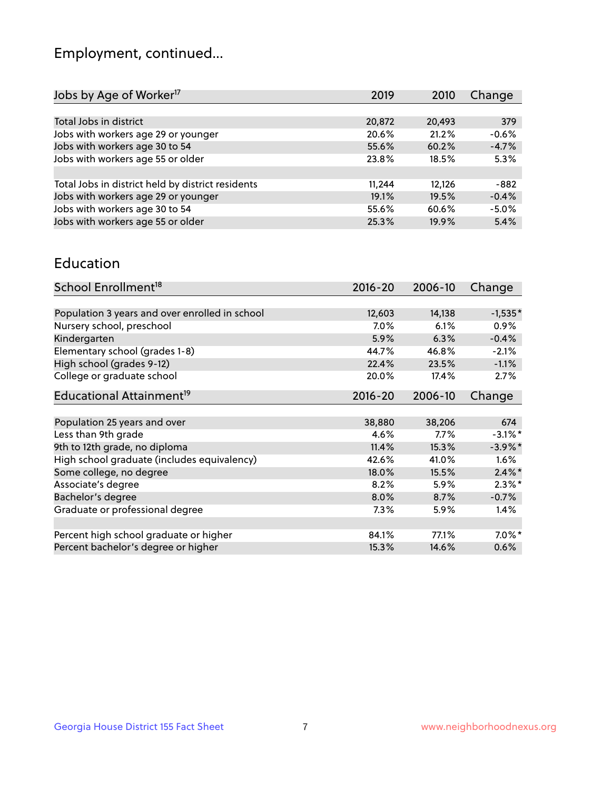## Employment, continued...

| 2019   | 2010   | Change  |
|--------|--------|---------|
|        |        |         |
| 20,872 | 20,493 | 379     |
| 20.6%  | 21.2%  | $-0.6%$ |
| 55.6%  | 60.2%  | $-4.7%$ |
| 23.8%  | 18.5%  | 5.3%    |
|        |        |         |
| 11,244 | 12,126 | -882    |
| 19.1%  | 19.5%  | $-0.4%$ |
| 55.6%  | 60.6%  | $-5.0%$ |
| 25.3%  | 19.9%  | 5.4%    |
|        |        |         |

#### Education

| School Enrollment <sup>18</sup>                | $2016 - 20$ | 2006-10 | Change     |
|------------------------------------------------|-------------|---------|------------|
|                                                |             |         |            |
| Population 3 years and over enrolled in school | 12,603      | 14,138  | $-1,535*$  |
| Nursery school, preschool                      | $7.0\%$     | 6.1%    | $0.9\%$    |
| Kindergarten                                   | 5.9%        | 6.3%    | $-0.4%$    |
| Elementary school (grades 1-8)                 | 44.7%       | 46.8%   | $-2.1%$    |
| High school (grades 9-12)                      | 22.4%       | 23.5%   | $-1.1%$    |
| College or graduate school                     | 20.0%       | 17.4%   | 2.7%       |
| Educational Attainment <sup>19</sup>           | $2016 - 20$ | 2006-10 | Change     |
|                                                |             |         |            |
| Population 25 years and over                   | 38,880      | 38,206  | 674        |
| Less than 9th grade                            | 4.6%        | $7.7\%$ | $-3.1\%$ * |
| 9th to 12th grade, no diploma                  | 11.4%       | 15.3%   | $-3.9\%$ * |
| High school graduate (includes equivalency)    | 42.6%       | 41.0%   | $1.6\%$    |
| Some college, no degree                        | 18.0%       | 15.5%   | $2.4\%$ *  |
| Associate's degree                             | 8.2%        | 5.9%    | $2.3\%$ *  |
| Bachelor's degree                              | 8.0%        | 8.7%    | $-0.7%$    |
| Graduate or professional degree                | $7.3\%$     | 5.9%    | 1.4%       |
|                                                |             |         |            |
| Percent high school graduate or higher         | 84.1%       | 77.1%   | $7.0\%$ *  |
| Percent bachelor's degree or higher            | 15.3%       | 14.6%   | 0.6%       |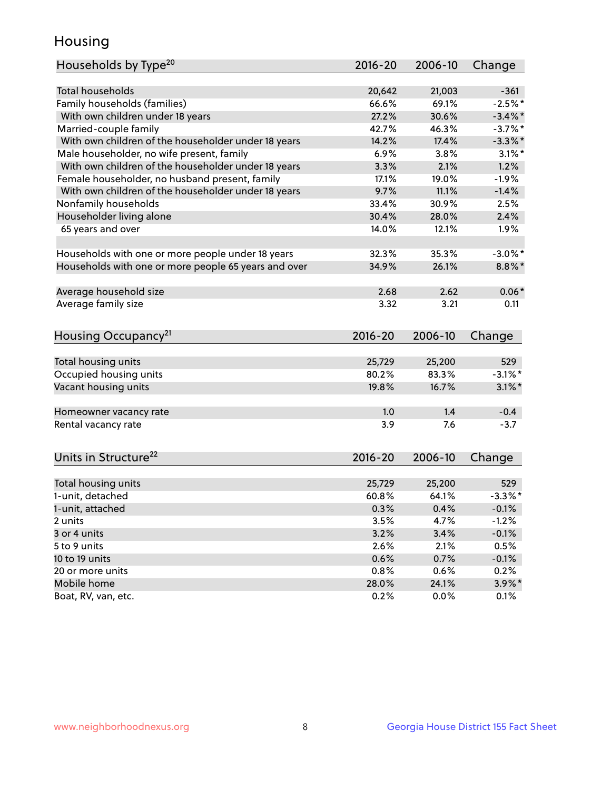## Housing

| Households by Type <sup>20</sup>                     | 2016-20     | 2006-10 | Change     |
|------------------------------------------------------|-------------|---------|------------|
|                                                      |             |         |            |
| <b>Total households</b>                              | 20,642      | 21,003  | $-361$     |
| Family households (families)                         | 66.6%       | 69.1%   | $-2.5%$ *  |
| With own children under 18 years                     | 27.2%       | 30.6%   | $-3.4\%$ * |
| Married-couple family                                | 42.7%       | 46.3%   | $-3.7%$ *  |
| With own children of the householder under 18 years  | 14.2%       | 17.4%   | $-3.3\%$ * |
| Male householder, no wife present, family            | 6.9%        | 3.8%    | $3.1\%$ *  |
| With own children of the householder under 18 years  | 3.3%        | 2.1%    | 1.2%       |
| Female householder, no husband present, family       | 17.1%       | 19.0%   | $-1.9%$    |
| With own children of the householder under 18 years  | 9.7%        | 11.1%   | $-1.4%$    |
| Nonfamily households                                 | 33.4%       | 30.9%   | 2.5%       |
| Householder living alone                             | 30.4%       | 28.0%   | 2.4%       |
| 65 years and over                                    | 14.0%       | 12.1%   | 1.9%       |
|                                                      |             |         |            |
| Households with one or more people under 18 years    | 32.3%       | 35.3%   | $-3.0\%$ * |
| Households with one or more people 65 years and over | 34.9%       | 26.1%   | $8.8\%$ *  |
|                                                      |             |         |            |
| Average household size                               | 2.68        | 2.62    | $0.06*$    |
| Average family size                                  | 3.32        | 3.21    | 0.11       |
|                                                      |             |         |            |
| Housing Occupancy <sup>21</sup>                      | 2016-20     | 2006-10 | Change     |
|                                                      |             |         |            |
| Total housing units                                  | 25,729      | 25,200  | 529        |
| Occupied housing units                               | 80.2%       | 83.3%   | $-3.1\%$ * |
| Vacant housing units                                 | 19.8%       | 16.7%   | $3.1\%$ *  |
|                                                      |             |         |            |
| Homeowner vacancy rate                               | 1.0         | 1.4     | $-0.4$     |
| Rental vacancy rate                                  | 3.9         | 7.6     | $-3.7$     |
|                                                      |             |         |            |
| Units in Structure <sup>22</sup>                     | $2016 - 20$ | 2006-10 | Change     |
|                                                      |             |         |            |
| Total housing units                                  | 25,729      | 25,200  | 529        |
| 1-unit, detached                                     | 60.8%       | 64.1%   | $-3.3\%$ * |
| 1-unit, attached                                     | 0.3%        | 0.4%    | $-0.1%$    |
| 2 units                                              | 3.5%        | 4.7%    | $-1.2%$    |
| 3 or 4 units                                         | 3.2%        | 3.4%    | $-0.1%$    |
| 5 to 9 units                                         | 2.6%        | 2.1%    | 0.5%       |
| 10 to 19 units                                       | 0.6%        | 0.7%    | $-0.1%$    |
| 20 or more units                                     | 0.8%        | 0.6%    | 0.2%       |
| Mobile home                                          | 28.0%       | 24.1%   | $3.9\%$ *  |
| Boat, RV, van, etc.                                  | 0.2%        | 0.0%    | 0.1%       |
|                                                      |             |         |            |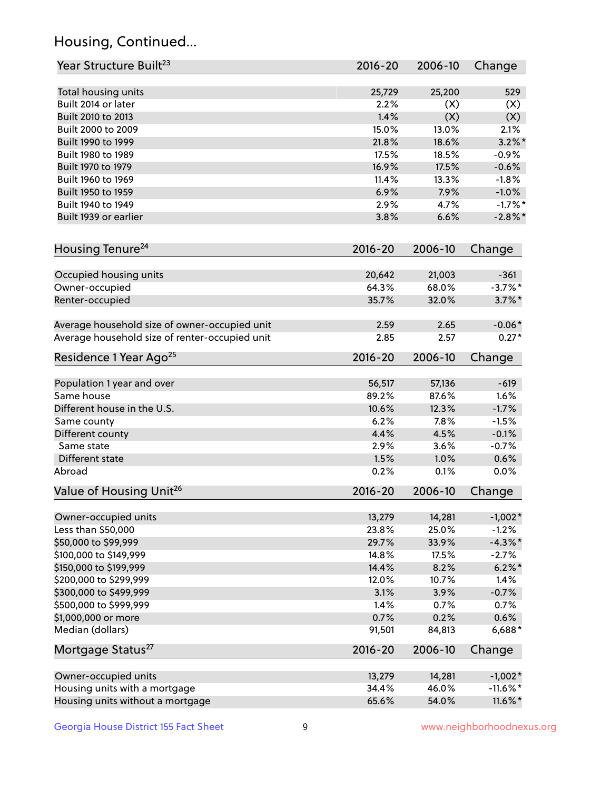## Housing, Continued...

| Year Structure Built <sup>23</sup>             | 2016-20        | 2006-10 | Change      |
|------------------------------------------------|----------------|---------|-------------|
|                                                |                |         |             |
| Total housing units<br>Built 2014 or later     | 25,729<br>2.2% | 25,200  | 529         |
|                                                |                | (X)     | (X)         |
| Built 2010 to 2013                             | 1.4%           | (X)     | (X)         |
| Built 2000 to 2009                             | 15.0%          | 13.0%   | 2.1%        |
| Built 1990 to 1999                             | 21.8%          | 18.6%   | $3.2\%$ *   |
| Built 1980 to 1989                             | 17.5%          | 18.5%   | $-0.9%$     |
| Built 1970 to 1979                             | 16.9%          | 17.5%   | $-0.6%$     |
| Built 1960 to 1969                             | 11.4%          | 13.3%   | $-1.8%$     |
| Built 1950 to 1959                             | 6.9%           | 7.9%    | $-1.0%$     |
| Built 1940 to 1949                             | 2.9%           | 4.7%    | $-1.7%$ *   |
| Built 1939 or earlier                          | 3.8%           | 6.6%    | $-2.8\%$ *  |
| Housing Tenure <sup>24</sup>                   | $2016 - 20$    | 2006-10 | Change      |
| Occupied housing units                         | 20,642         | 21,003  | $-361$      |
| Owner-occupied                                 | 64.3%          | 68.0%   | $-3.7\%$ *  |
| Renter-occupied                                | 35.7%          | 32.0%   | $3.7\%$ *   |
| Average household size of owner-occupied unit  | 2.59           | 2.65    | $-0.06*$    |
| Average household size of renter-occupied unit | 2.85           | 2.57    | $0.27*$     |
| Residence 1 Year Ago <sup>25</sup>             | $2016 - 20$    | 2006-10 | Change      |
|                                                |                |         |             |
| Population 1 year and over                     | 56,517         | 57,136  | $-619$      |
| Same house                                     | 89.2%          | 87.6%   | 1.6%        |
| Different house in the U.S.                    | 10.6%          | 12.3%   | $-1.7%$     |
| Same county                                    | 6.2%           | 7.8%    | $-1.5%$     |
| Different county                               | 4.4%           | 4.5%    | $-0.1%$     |
| Same state                                     | 2.9%           | 3.6%    | $-0.7%$     |
| Different state                                | 1.5%           | 1.0%    | 0.6%        |
| Abroad                                         | 0.2%           | 0.1%    | 0.0%        |
| Value of Housing Unit <sup>26</sup>            | $2016 - 20$    | 2006-10 | Change      |
| Owner-occupied units                           | 13,279         | 14,281  | $-1,002*$   |
| Less than \$50,000                             | 23.8%          | 25.0%   | $-1.2%$     |
| \$50,000 to \$99,999                           | 29.7%          | 33.9%   | $-4.3\%$ *  |
| \$100,000 to \$149,999                         | 14.8%          | 17.5%   | $-2.7%$     |
| \$150,000 to \$199,999                         | 14.4%          | 8.2%    | $6.2\% *$   |
| \$200,000 to \$299,999                         | 12.0%          | 10.7%   | 1.4%        |
| \$300,000 to \$499,999                         | 3.1%           | 3.9%    | $-0.7%$     |
| \$500,000 to \$999,999                         | 1.4%           | 0.7%    | 0.7%        |
| \$1,000,000 or more                            | 0.7%           | 0.2%    | 0.6%        |
| Median (dollars)                               | 91,501         | 84,813  | 6,688*      |
| Mortgage Status <sup>27</sup>                  | $2016 - 20$    | 2006-10 | Change      |
|                                                |                |         |             |
| Owner-occupied units                           | 13,279         | 14,281  | $-1,002*$   |
| Housing units with a mortgage                  | 34.4%          | 46.0%   | $-11.6\%$ * |
| Housing units without a mortgage               | 65.6%          | 54.0%   | 11.6%*      |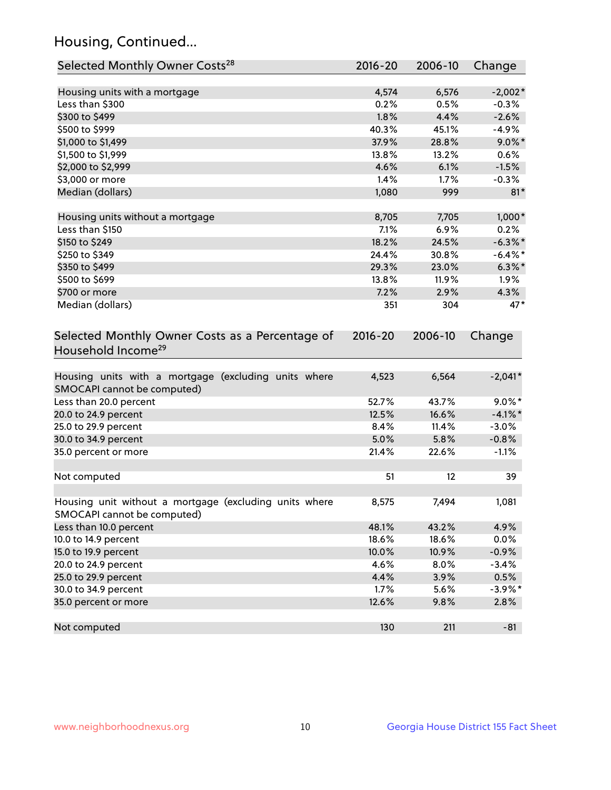## Housing, Continued...

| Selected Monthly Owner Costs <sup>28</sup>                                            | 2016-20     | 2006-10           | Change     |
|---------------------------------------------------------------------------------------|-------------|-------------------|------------|
| Housing units with a mortgage                                                         | 4,574       | 6,576             | $-2,002*$  |
| Less than \$300                                                                       | 0.2%        | 0.5%              | $-0.3%$    |
| \$300 to \$499                                                                        | 1.8%        | 4.4%              | $-2.6%$    |
| \$500 to \$999                                                                        | 40.3%       | 45.1%             | $-4.9%$    |
| \$1,000 to \$1,499                                                                    | 37.9%       | 28.8%             | $9.0\%$ *  |
| \$1,500 to \$1,999                                                                    | 13.8%       | 13.2%             | 0.6%       |
| \$2,000 to \$2,999                                                                    | 4.6%        | 6.1%              | $-1.5%$    |
| \$3,000 or more                                                                       | 1.4%        | 1.7%              | $-0.3%$    |
| Median (dollars)                                                                      | 1,080       | 999               | $81*$      |
| Housing units without a mortgage                                                      | 8,705       | 7,705             | $1,000*$   |
| Less than \$150                                                                       | 7.1%        | 6.9%              | 0.2%       |
| \$150 to \$249                                                                        | 18.2%       | 24.5%             | $-6.3\%$ * |
| \$250 to \$349                                                                        | 24.4%       | 30.8%             | $-6.4\%$ * |
| \$350 to \$499                                                                        | 29.3%       | 23.0%             | $6.3\%$ *  |
| \$500 to \$699                                                                        | 13.8%       | 11.9%             | 1.9%       |
| \$700 or more                                                                         | 7.2%        | 2.9%              | 4.3%       |
| Median (dollars)                                                                      | 351         | 304               | 47*        |
| Selected Monthly Owner Costs as a Percentage of<br>Household Income <sup>29</sup>     | $2016 - 20$ | 2006-10           | Change     |
| Housing units with a mortgage (excluding units where<br>SMOCAPI cannot be computed)   | 4,523       | 6,564             | $-2,041*$  |
| Less than 20.0 percent                                                                | 52.7%       | 43.7%             | $9.0\%$ *  |
| 20.0 to 24.9 percent                                                                  | 12.5%       | 16.6%             | $-4.1\%$ * |
| 25.0 to 29.9 percent                                                                  | 8.4%        | 11.4%             | $-3.0%$    |
| 30.0 to 34.9 percent                                                                  | 5.0%        | 5.8%              | $-0.8%$    |
| 35.0 percent or more                                                                  | 21.4%       | 22.6%             | $-1.1%$    |
| Not computed                                                                          | 51          | $12 \overline{ }$ | 39         |
| Housing unit without a mortgage (excluding units where<br>SMOCAPI cannot be computed) | 8,575       | 7,494             | 1,081      |
| Less than 10.0 percent                                                                | 48.1%       | 43.2%             | 4.9%       |
| 10.0 to 14.9 percent                                                                  | 18.6%       | 18.6%             | 0.0%       |
| 15.0 to 19.9 percent                                                                  | 10.0%       | 10.9%             | $-0.9%$    |
| 20.0 to 24.9 percent                                                                  | 4.6%        | 8.0%              | $-3.4%$    |
| 25.0 to 29.9 percent                                                                  | 4.4%        | 3.9%              | 0.5%       |
| 30.0 to 34.9 percent                                                                  | 1.7%        | 5.6%              | $-3.9\%$ * |
| 35.0 percent or more                                                                  | 12.6%       | 9.8%              | 2.8%       |
| Not computed                                                                          | 130         | 211               | $-81$      |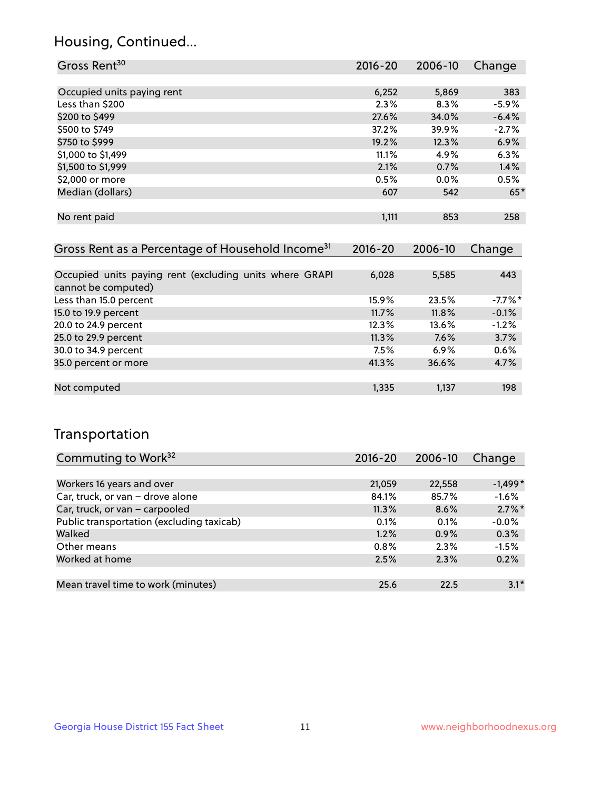## Housing, Continued...

| Gross Rent <sup>30</sup>   | 2016-20 | 2006-10 | Change  |
|----------------------------|---------|---------|---------|
|                            |         |         |         |
| Occupied units paying rent | 6,252   | 5,869   | 383     |
| Less than \$200            | 2.3%    | 8.3%    | $-5.9%$ |
| \$200 to \$499             | 27.6%   | 34.0%   | $-6.4%$ |
| \$500 to \$749             | 37.2%   | 39.9%   | $-2.7%$ |
| \$750 to \$999             | 19.2%   | 12.3%   | 6.9%    |
| \$1,000 to \$1,499         | 11.1%   | 4.9%    | 6.3%    |
| \$1,500 to \$1,999         | 2.1%    | 0.7%    | 1.4%    |
| \$2,000 or more            | 0.5%    | $0.0\%$ | 0.5%    |
| Median (dollars)           | 607     | 542     | $65*$   |
|                            |         |         |         |
| No rent paid               | 1,111   | 853     | 258     |

| Gross Rent as a Percentage of Household Income <sup>31</sup>                   | $2016 - 20$ | 2006-10 | Change     |
|--------------------------------------------------------------------------------|-------------|---------|------------|
|                                                                                |             |         |            |
| Occupied units paying rent (excluding units where GRAPI<br>cannot be computed) | 6,028       | 5,585   | 443        |
| Less than 15.0 percent                                                         | 15.9%       | 23.5%   | $-7.7\%$ * |
| 15.0 to 19.9 percent                                                           | 11.7%       | 11.8%   | $-0.1%$    |
| 20.0 to 24.9 percent                                                           | 12.3%       | 13.6%   | $-1.2%$    |
| 25.0 to 29.9 percent                                                           | 11.3%       | 7.6%    | 3.7%       |
| 30.0 to 34.9 percent                                                           | 7.5%        | 6.9%    | 0.6%       |
| 35.0 percent or more                                                           | 41.3%       | 36.6%   | 4.7%       |
|                                                                                |             |         |            |
| Not computed                                                                   | 1,335       | 1,137   | 198        |

## Transportation

| Commuting to Work <sup>32</sup>           | 2016-20 | 2006-10 | Change    |
|-------------------------------------------|---------|---------|-----------|
|                                           |         |         |           |
| Workers 16 years and over                 | 21,059  | 22,558  | $-1,499*$ |
| Car, truck, or van - drove alone          | 84.1%   | 85.7%   | $-1.6%$   |
| Car, truck, or van - carpooled            | 11.3%   | 8.6%    | $2.7\%$ * |
| Public transportation (excluding taxicab) | 0.1%    | 0.1%    | $-0.0%$   |
| Walked                                    | 1.2%    | 0.9%    | 0.3%      |
| Other means                               | 0.8%    | 2.3%    | $-1.5%$   |
| Worked at home                            | 2.5%    | 2.3%    | 0.2%      |
|                                           |         |         |           |
| Mean travel time to work (minutes)        | 25.6    | 22.5    | $3.1*$    |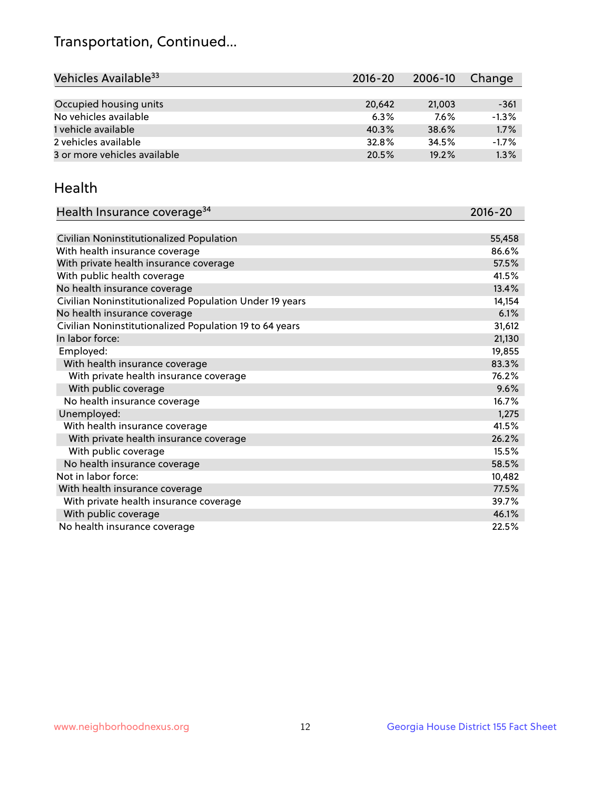## Transportation, Continued...

| Vehicles Available <sup>33</sup> | $2016 - 20$ | 2006-10 | Change  |
|----------------------------------|-------------|---------|---------|
|                                  |             |         |         |
| Occupied housing units           | 20.642      | 21,003  | $-361$  |
| No vehicles available            | 6.3%        | $7.6\%$ | $-1.3%$ |
| 1 vehicle available              | 40.3%       | 38.6%   | 1.7%    |
| 2 vehicles available             | 32.8%       | 34.5%   | $-1.7%$ |
| 3 or more vehicles available     | 20.5%       | 19.2%   | 1.3%    |

#### Health

| Health Insurance coverage <sup>34</sup>                 | 2016-20 |
|---------------------------------------------------------|---------|
|                                                         |         |
| Civilian Noninstitutionalized Population                | 55,458  |
| With health insurance coverage                          | 86.6%   |
| With private health insurance coverage                  | 57.5%   |
| With public health coverage                             | 41.5%   |
| No health insurance coverage                            | 13.4%   |
| Civilian Noninstitutionalized Population Under 19 years | 14,154  |
| No health insurance coverage                            | 6.1%    |
| Civilian Noninstitutionalized Population 19 to 64 years | 31,612  |
| In labor force:                                         | 21,130  |
| Employed:                                               | 19,855  |
| With health insurance coverage                          | 83.3%   |
| With private health insurance coverage                  | 76.2%   |
| With public coverage                                    | 9.6%    |
| No health insurance coverage                            | 16.7%   |
| Unemployed:                                             | 1,275   |
| With health insurance coverage                          | 41.5%   |
| With private health insurance coverage                  | 26.2%   |
| With public coverage                                    | 15.5%   |
| No health insurance coverage                            | 58.5%   |
| Not in labor force:                                     | 10,482  |
| With health insurance coverage                          | 77.5%   |
| With private health insurance coverage                  | 39.7%   |
| With public coverage                                    | 46.1%   |
| No health insurance coverage                            | 22.5%   |